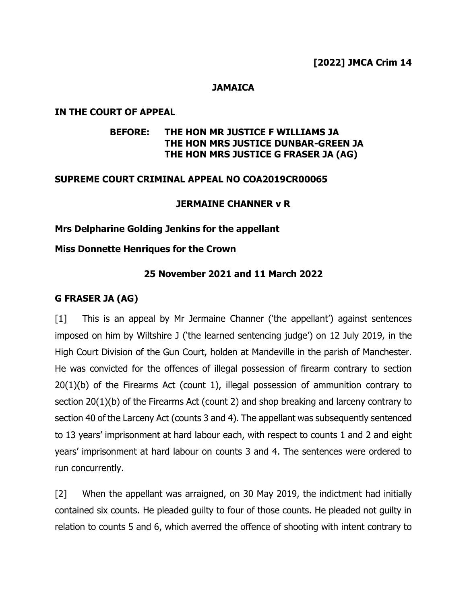#### **JAMAICA**

#### **IN THE COURT OF APPEAL**

### **BEFORE: THE HON MR JUSTICE F WILLIAMS JA THE HON MRS JUSTICE DUNBAR-GREEN JA THE HON MRS JUSTICE G FRASER JA (AG)**

#### **SUPREME COURT CRIMINAL APPEAL NO COA2019CR00065**

#### **JERMAINE CHANNER v R**

#### **Mrs Delpharine Golding Jenkins for the appellant**

#### **Miss Donnette Henriques for the Crown**

#### **25 November 2021 and 11 March 2022**

#### **G FRASER JA (AG)**

[1] This is an appeal by Mr Jermaine Channer ('the appellant') against sentences imposed on him by Wiltshire J ('the learned sentencing judge') on 12 July 2019, in the High Court Division of the Gun Court, holden at Mandeville in the parish of Manchester. He was convicted for the offences of illegal possession of firearm contrary to section 20(1)(b) of the Firearms Act (count 1), illegal possession of ammunition contrary to section 20(1)(b) of the Firearms Act (count 2) and shop breaking and larceny contrary to section 40 of the Larceny Act (counts 3 and 4). The appellant was subsequently sentenced to 13 years' imprisonment at hard labour each, with respect to counts 1 and 2 and eight years' imprisonment at hard labour on counts 3 and 4. The sentences were ordered to run concurrently.

[2] When the appellant was arraigned, on 30 May 2019, the indictment had initially contained six counts. He pleaded guilty to four of those counts. He pleaded not guilty in relation to counts 5 and 6, which averred the offence of shooting with intent contrary to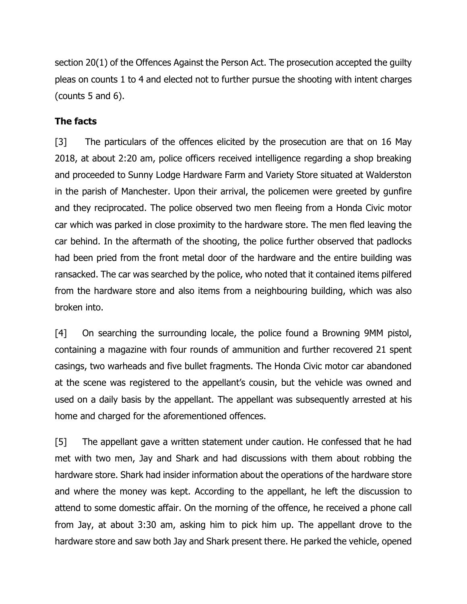section 20(1) of the Offences Against the Person Act. The prosecution accepted the guilty pleas on counts 1 to 4 and elected not to further pursue the shooting with intent charges (counts 5 and 6).

# **The facts**

[3] The particulars of the offences elicited by the prosecution are that on 16 May 2018, at about 2:20 am, police officers received intelligence regarding a shop breaking and proceeded to Sunny Lodge Hardware Farm and Variety Store situated at Walderston in the parish of Manchester. Upon their arrival, the policemen were greeted by gunfire and they reciprocated. The police observed two men fleeing from a Honda Civic motor car which was parked in close proximity to the hardware store. The men fled leaving the car behind. In the aftermath of the shooting, the police further observed that padlocks had been pried from the front metal door of the hardware and the entire building was ransacked. The car was searched by the police, who noted that it contained items pilfered from the hardware store and also items from a neighbouring building, which was also broken into.

[4] On searching the surrounding locale, the police found a Browning 9MM pistol, containing a magazine with four rounds of ammunition and further recovered 21 spent casings, two warheads and five bullet fragments. The Honda Civic motor car abandoned at the scene was registered to the appellant's cousin, but the vehicle was owned and used on a daily basis by the appellant. The appellant was subsequently arrested at his home and charged for the aforementioned offences.

[5] The appellant gave a written statement under caution. He confessed that he had met with two men, Jay and Shark and had discussions with them about robbing the hardware store. Shark had insider information about the operations of the hardware store and where the money was kept. According to the appellant, he left the discussion to attend to some domestic affair. On the morning of the offence, he received a phone call from Jay, at about 3:30 am, asking him to pick him up. The appellant drove to the hardware store and saw both Jay and Shark present there. He parked the vehicle, opened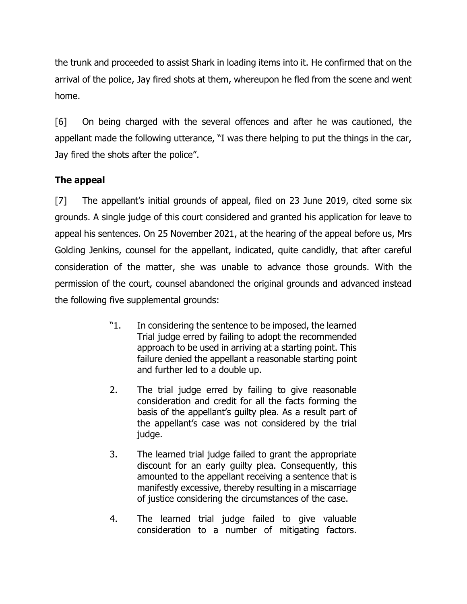the trunk and proceeded to assist Shark in loading items into it. He confirmed that on the arrival of the police, Jay fired shots at them, whereupon he fled from the scene and went home.

[6] On being charged with the several offences and after he was cautioned, the appellant made the following utterance, "I was there helping to put the things in the car, Jay fired the shots after the police".

# **The appeal**

[7] The appellant's initial grounds of appeal, filed on 23 June 2019, cited some six grounds. A single judge of this court considered and granted his application for leave to appeal his sentences. On 25 November 2021, at the hearing of the appeal before us, Mrs Golding Jenkins, counsel for the appellant, indicated, quite candidly, that after careful consideration of the matter, she was unable to advance those grounds. With the permission of the court, counsel abandoned the original grounds and advanced instead the following five supplemental grounds:

- "1. In considering the sentence to be imposed, the learned Trial judge erred by failing to adopt the recommended approach to be used in arriving at a starting point. This failure denied the appellant a reasonable starting point and further led to a double up.
- 2. The trial judge erred by failing to give reasonable consideration and credit for all the facts forming the basis of the appellant's guilty plea. As a result part of the appellant's case was not considered by the trial judge.
- 3. The learned trial judge failed to grant the appropriate discount for an early guilty plea. Consequently, this amounted to the appellant receiving a sentence that is manifestly excessive, thereby resulting in a miscarriage of justice considering the circumstances of the case.
- 4. The learned trial judge failed to give valuable consideration to a number of mitigating factors.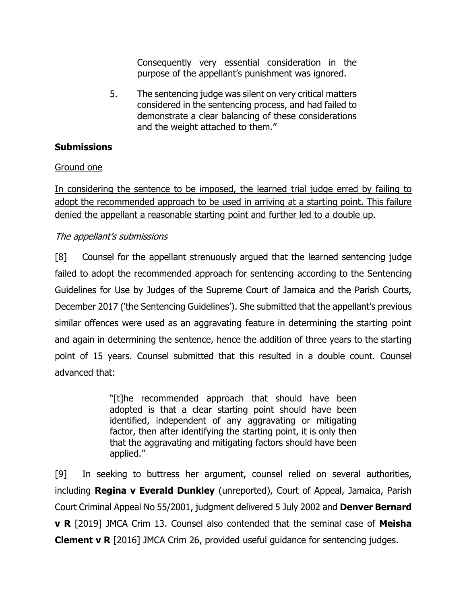Consequently very essential consideration in the purpose of the appellant's punishment was ignored.

5. The sentencing judge was silent on very critical matters considered in the sentencing process, and had failed to demonstrate a clear balancing of these considerations and the weight attached to them."

### **Submissions**

### Ground one

In considering the sentence to be imposed, the learned trial judge erred by failing to adopt the recommended approach to be used in arriving at a starting point. This failure denied the appellant a reasonable starting point and further led to a double up.

### The appellant's submissions

[8] Counsel for the appellant strenuously argued that the learned sentencing judge failed to adopt the recommended approach for sentencing according to the Sentencing Guidelines for Use by Judges of the Supreme Court of Jamaica and the Parish Courts, December 2017 ('the Sentencing Guidelines'). She submitted that the appellant's previous similar offences were used as an aggravating feature in determining the starting point and again in determining the sentence, hence the addition of three years to the starting point of 15 years. Counsel submitted that this resulted in a double count. Counsel advanced that:

> "[t]he recommended approach that should have been adopted is that a clear starting point should have been identified, independent of any aggravating or mitigating factor, then after identifying the starting point, it is only then that the aggravating and mitigating factors should have been applied."

[9] In seeking to buttress her argument, counsel relied on several authorities, including **Regina v Everald Dunkley** (unreported), Court of Appeal, Jamaica, Parish Court Criminal Appeal No 55/2001, judgment delivered 5 July 2002 and **Denver Bernard v R** [2019] JMCA Crim 13. Counsel also contended that the seminal case of **Meisha Clement v R** [2016] JMCA Crim 26, provided useful guidance for sentencing judges.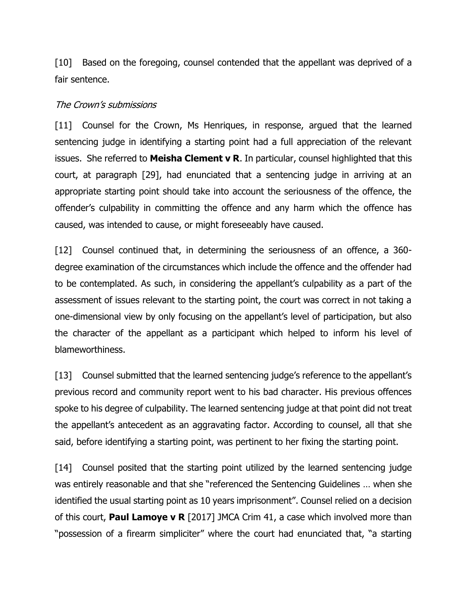[10] Based on the foregoing, counsel contended that the appellant was deprived of a fair sentence.

#### The Crown's submissions

[11] Counsel for the Crown, Ms Henriques, in response, argued that the learned sentencing judge in identifying a starting point had a full appreciation of the relevant issues. She referred to **Meisha Clement v R**. In particular, counsel highlighted that this court, at paragraph [29], had enunciated that a sentencing judge in arriving at an appropriate starting point should take into account the seriousness of the offence, the offender's culpability in committing the offence and any harm which the offence has caused, was intended to cause, or might foreseeably have caused.

[12] Counsel continued that, in determining the seriousness of an offence, a 360degree examination of the circumstances which include the offence and the offender had to be contemplated. As such, in considering the appellant's culpability as a part of the assessment of issues relevant to the starting point, the court was correct in not taking a one-dimensional view by only focusing on the appellant's level of participation, but also the character of the appellant as a participant which helped to inform his level of blameworthiness.

[13] Counsel submitted that the learned sentencing judge's reference to the appellant's previous record and community report went to his bad character. His previous offences spoke to his degree of culpability. The learned sentencing judge at that point did not treat the appellant's antecedent as an aggravating factor. According to counsel, all that she said, before identifying a starting point, was pertinent to her fixing the starting point.

[14] Counsel posited that the starting point utilized by the learned sentencing judge was entirely reasonable and that she "referenced the Sentencing Guidelines … when she identified the usual starting point as 10 years imprisonment". Counsel relied on a decision of this court, **Paul Lamoye v R** [2017] JMCA Crim 41, a case which involved more than "possession of a firearm simpliciter" where the court had enunciated that, "a starting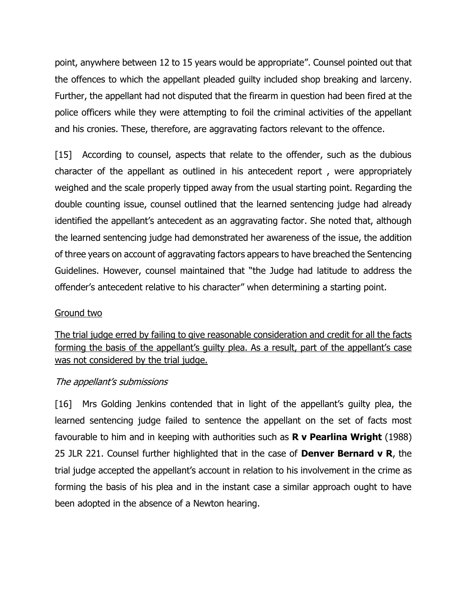point, anywhere between 12 to 15 years would be appropriate". Counsel pointed out that the offences to which the appellant pleaded guilty included shop breaking and larceny. Further, the appellant had not disputed that the firearm in question had been fired at the police officers while they were attempting to foil the criminal activities of the appellant and his cronies. These, therefore, are aggravating factors relevant to the offence.

[15] According to counsel, aspects that relate to the offender, such as the dubious character of the appellant as outlined in his antecedent report , were appropriately weighed and the scale properly tipped away from the usual starting point. Regarding the double counting issue, counsel outlined that the learned sentencing judge had already identified the appellant's antecedent as an aggravating factor. She noted that, although the learned sentencing judge had demonstrated her awareness of the issue, the addition of three years on account of aggravating factors appears to have breached the Sentencing Guidelines. However, counsel maintained that "the Judge had latitude to address the offender's antecedent relative to his character" when determining a starting point.

#### Ground two

The trial judge erred by failing to give reasonable consideration and credit for all the facts forming the basis of the appellant's guilty plea. As a result, part of the appellant's case was not considered by the trial judge.

#### The appellant's submissions

[16] Mrs Golding Jenkins contended that in light of the appellant's quilty plea, the learned sentencing judge failed to sentence the appellant on the set of facts most favourable to him and in keeping with authorities such as **R v Pearlina Wright** (1988) 25 JLR 221. Counsel further highlighted that in the case of **Denver Bernard v R**, the trial judge accepted the appellant's account in relation to his involvement in the crime as forming the basis of his plea and in the instant case a similar approach ought to have been adopted in the absence of a Newton hearing.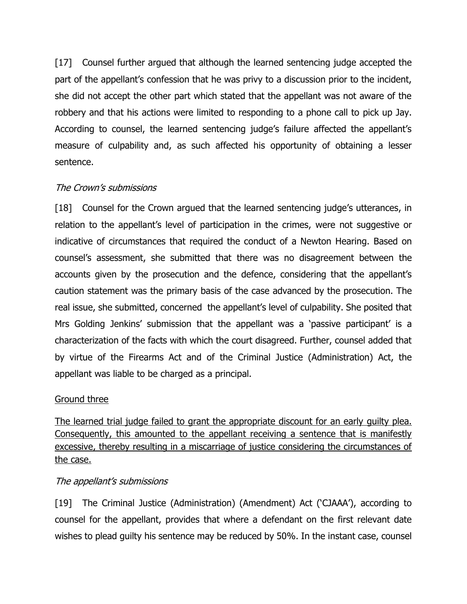[17] Counsel further argued that although the learned sentencing judge accepted the part of the appellant's confession that he was privy to a discussion prior to the incident, she did not accept the other part which stated that the appellant was not aware of the robbery and that his actions were limited to responding to a phone call to pick up Jay. According to counsel, the learned sentencing judge's failure affected the appellant's measure of culpability and, as such affected his opportunity of obtaining a lesser sentence.

# The Crown's submissions

[18] Counsel for the Crown argued that the learned sentencing judge's utterances, in relation to the appellant's level of participation in the crimes, were not suggestive or indicative of circumstances that required the conduct of a Newton Hearing. Based on counsel's assessment, she submitted that there was no disagreement between the accounts given by the prosecution and the defence, considering that the appellant's caution statement was the primary basis of the case advanced by the prosecution. The real issue, she submitted, concerned the appellant's level of culpability. She posited that Mrs Golding Jenkins' submission that the appellant was a 'passive participant' is a characterization of the facts with which the court disagreed. Further, counsel added that by virtue of the Firearms Act and of the Criminal Justice (Administration) Act, the appellant was liable to be charged as a principal.

#### Ground three

The learned trial judge failed to grant the appropriate discount for an early guilty plea. Consequently, this amounted to the appellant receiving a sentence that is manifestly excessive, thereby resulting in a miscarriage of justice considering the circumstances of the case.

#### The appellant's submissions

[19] The Criminal Justice (Administration) (Amendment) Act ('CJAAA'), according to counsel for the appellant, provides that where a defendant on the first relevant date wishes to plead guilty his sentence may be reduced by 50%. In the instant case, counsel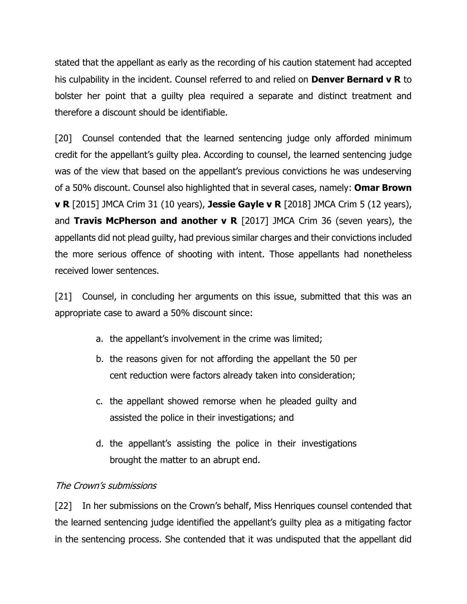stated that the appellant as early as the recording of his caution statement had accepted his culpability in the incident. Counsel referred to and relied on **Denver Bernard v R** to bolster her point that a guilty plea required a separate and distinct treatment and therefore a discount should be identifiable.

[20] Counsel contended that the learned sentencing judge only afforded minimum credit for the appellant's guilty plea. According to counsel, the learned sentencing judge was of the view that based on the appellant's previous convictions he was undeserving of a 50% discount. Counsel also highlighted that in several cases, namely: **Omar Brown v R** [2015] JMCA Crim 31 (10 years), **Jessie Gayle v R** [2018] JMCA Crim 5 (12 years), and **Travis McPherson and another v R** [2017] JMCA Crim 36 (seven years), the appellants did not plead guilty, had previous similar charges and their convictions included the more serious offence of shooting with intent. Those appellants had nonetheless received lower sentences.

[21] Counsel, in concluding her arguments on this issue, submitted that this was an appropriate case to award a 50% discount since:

- a. the appellant's involvement in the crime was limited;
- b. the reasons given for not affording the appellant the 50 per cent reduction were factors already taken into consideration;
- c. the appellant showed remorse when he pleaded guilty and assisted the police in their investigations; and
- d. the appellant's assisting the police in their investigations brought the matter to an abrupt end.

#### The Crown's submissions

[22] In her submissions on the Crown's behalf, Miss Henriques counsel contended that the learned sentencing judge identified the appellant's guilty plea as a mitigating factor in the sentencing process. She contended that it was undisputed that the appellant did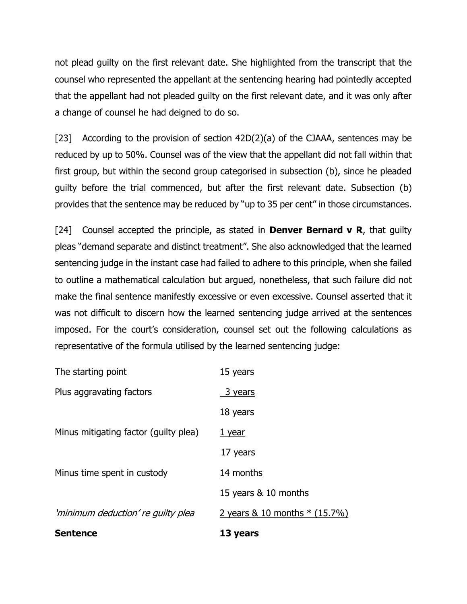not plead guilty on the first relevant date. She highlighted from the transcript that the counsel who represented the appellant at the sentencing hearing had pointedly accepted that the appellant had not pleaded guilty on the first relevant date, and it was only after a change of counsel he had deigned to do so.

[23] According to the provision of section 42D(2)(a) of the CJAAA, sentences may be reduced by up to 50%. Counsel was of the view that the appellant did not fall within that first group, but within the second group categorised in subsection (b), since he pleaded guilty before the trial commenced, but after the first relevant date. Subsection (b) provides that the sentence may be reduced by "up to 35 per cent" in those circumstances.

[24] Counsel accepted the principle, as stated in **Denver Bernard v R**, that guilty pleas "demand separate and distinct treatment". She also acknowledged that the learned sentencing judge in the instant case had failed to adhere to this principle, when she failed to outline a mathematical calculation but argued, nonetheless, that such failure did not make the final sentence manifestly excessive or even excessive. Counsel asserted that it was not difficult to discern how the learned sentencing judge arrived at the sentences imposed. For the court's consideration, counsel set out the following calculations as representative of the formula utilised by the learned sentencing judge:

| <b>Sentence</b>                       | 13 years                       |
|---------------------------------------|--------------------------------|
| 'minimum deduction' re guilty plea    | 2 years & 10 months $*(15.7%)$ |
|                                       | 15 years & 10 months           |
| Minus time spent in custody           | 14 months                      |
|                                       | 17 years                       |
| Minus mitigating factor (guilty plea) | 1 year                         |
|                                       | 18 years                       |
| Plus aggravating factors              | 3 years                        |
| The starting point                    | 15 years                       |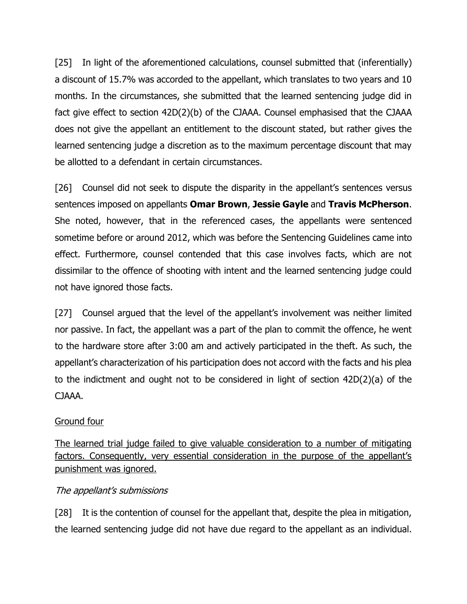[25] In light of the aforementioned calculations, counsel submitted that (inferentially) a discount of 15.7% was accorded to the appellant, which translates to two years and 10 months. In the circumstances, she submitted that the learned sentencing judge did in fact give effect to section 42D(2)(b) of the CJAAA. Counsel emphasised that the CJAAA does not give the appellant an entitlement to the discount stated, but rather gives the learned sentencing judge a discretion as to the maximum percentage discount that may be allotted to a defendant in certain circumstances.

[26] Counsel did not seek to dispute the disparity in the appellant's sentences versus sentences imposed on appellants **Omar Brown**, **Jessie Gayle** and **Travis McPherson**. She noted, however, that in the referenced cases, the appellants were sentenced sometime before or around 2012, which was before the Sentencing Guidelines came into effect. Furthermore, counsel contended that this case involves facts, which are not dissimilar to the offence of shooting with intent and the learned sentencing judge could not have ignored those facts.

[27] Counsel argued that the level of the appellant's involvement was neither limited nor passive. In fact, the appellant was a part of the plan to commit the offence, he went to the hardware store after 3:00 am and actively participated in the theft. As such, the appellant's characterization of his participation does not accord with the facts and his plea to the indictment and ought not to be considered in light of section 42D(2)(a) of the CJAAA.

# Ground four

The learned trial judge failed to give valuable consideration to a number of mitigating factors. Consequently, very essential consideration in the purpose of the appellant's punishment was ignored.

# The appellant's submissions

[28] It is the contention of counsel for the appellant that, despite the plea in mitigation, the learned sentencing judge did not have due regard to the appellant as an individual.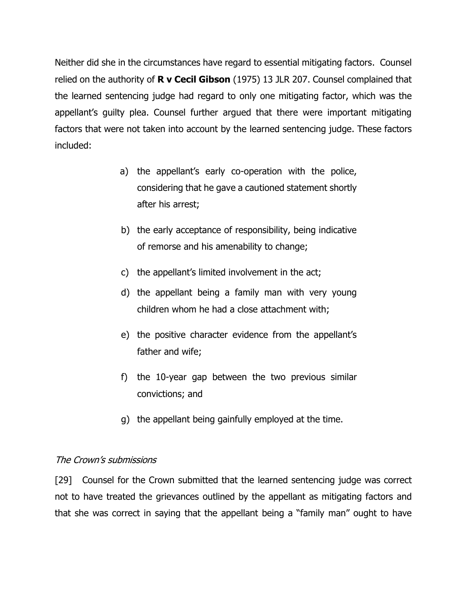Neither did she in the circumstances have regard to essential mitigating factors. Counsel relied on the authority of **R v Cecil Gibson** (1975) 13 JLR 207. Counsel complained that the learned sentencing judge had regard to only one mitigating factor, which was the appellant's guilty plea. Counsel further argued that there were important mitigating factors that were not taken into account by the learned sentencing judge. These factors included:

- a) the appellant's early co-operation with the police, considering that he gave a cautioned statement shortly after his arrest;
- b) the early acceptance of responsibility, being indicative of remorse and his amenability to change;
- c) the appellant's limited involvement in the act;
- d) the appellant being a family man with very young children whom he had a close attachment with;
- e) the positive character evidence from the appellant's father and wife;
- f) the 10-year gap between the two previous similar convictions; and
- g) the appellant being gainfully employed at the time.

#### The Crown's submissions

[29] Counsel for the Crown submitted that the learned sentencing judge was correct not to have treated the grievances outlined by the appellant as mitigating factors and that she was correct in saying that the appellant being a "family man" ought to have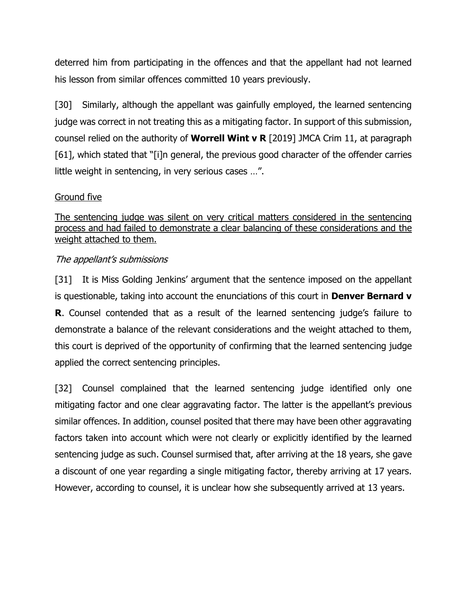deterred him from participating in the offences and that the appellant had not learned his lesson from similar offences committed 10 years previously.

[30] Similarly, although the appellant was gainfully employed, the learned sentencing judge was correct in not treating this as a mitigating factor. In support of this submission, counsel relied on the authority of **Worrell Wint v R** [2019] JMCA Crim 11, at paragraph [61], which stated that "[i]n general, the previous good character of the offender carries little weight in sentencing, in very serious cases …".

### Ground five

The sentencing judge was silent on very critical matters considered in the sentencing process and had failed to demonstrate a clear balancing of these considerations and the weight attached to them.

# The appellant's submissions

[31] It is Miss Golding Jenkins' argument that the sentence imposed on the appellant is questionable, taking into account the enunciations of this court in **Denver Bernard v R**. Counsel contended that as a result of the learned sentencing judge's failure to demonstrate a balance of the relevant considerations and the weight attached to them, this court is deprived of the opportunity of confirming that the learned sentencing judge applied the correct sentencing principles.

[32] Counsel complained that the learned sentencing judge identified only one mitigating factor and one clear aggravating factor. The latter is the appellant's previous similar offences. In addition, counsel posited that there may have been other aggravating factors taken into account which were not clearly or explicitly identified by the learned sentencing judge as such. Counsel surmised that, after arriving at the 18 years, she gave a discount of one year regarding a single mitigating factor, thereby arriving at 17 years. However, according to counsel, it is unclear how she subsequently arrived at 13 years.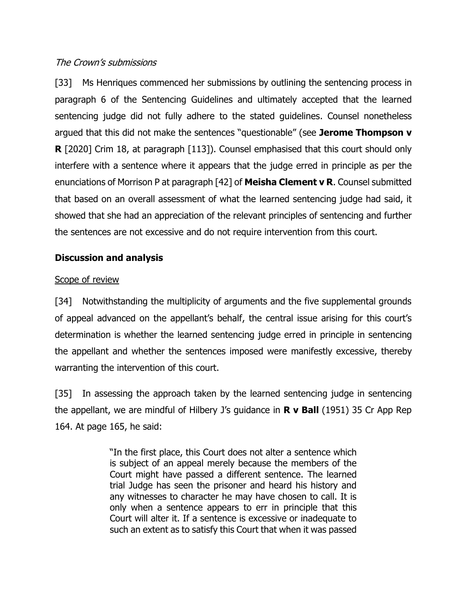# The Crown's submissions

[33] Ms Henriques commenced her submissions by outlining the sentencing process in paragraph 6 of the Sentencing Guidelines and ultimately accepted that the learned sentencing judge did not fully adhere to the stated guidelines. Counsel nonetheless argued that this did not make the sentences "questionable" (see **Jerome Thompson v R** [2020] Crim 18, at paragraph [113]). Counsel emphasised that this court should only interfere with a sentence where it appears that the judge erred in principle as per the enunciations of Morrison P at paragraph [42] of **Meisha Clement v R**. Counsel submitted that based on an overall assessment of what the learned sentencing judge had said, it showed that she had an appreciation of the relevant principles of sentencing and further the sentences are not excessive and do not require intervention from this court.

# **Discussion and analysis**

# Scope of review

[34] Notwithstanding the multiplicity of arguments and the five supplemental grounds of appeal advanced on the appellant's behalf, the central issue arising for this court's determination is whether the learned sentencing judge erred in principle in sentencing the appellant and whether the sentences imposed were manifestly excessive, thereby warranting the intervention of this court.

[35] In assessing the approach taken by the learned sentencing judge in sentencing the appellant, we are mindful of Hilbery J's guidance in **R v Ball** (1951) 35 Cr App Rep 164. At page 165, he said:

> "In the first place, this Court does not alter a sentence which is subject of an appeal merely because the members of the Court might have passed a different sentence. The learned trial Judge has seen the prisoner and heard his history and any witnesses to character he may have chosen to call. It is only when a sentence appears to err in principle that this Court will alter it. If a sentence is excessive or inadequate to such an extent as to satisfy this Court that when it was passed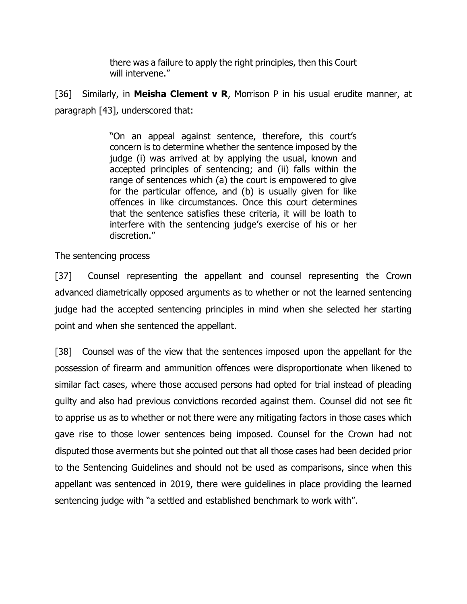there was a failure to apply the right principles, then this Court will intervene."

[36] Similarly, in **Meisha Clement v R**, Morrison P in his usual erudite manner, at paragraph [43], underscored that:

> "On an appeal against sentence, therefore, this court's concern is to determine whether the sentence imposed by the judge (i) was arrived at by applying the usual, known and accepted principles of sentencing; and (ii) falls within the range of sentences which (a) the court is empowered to give for the particular offence, and (b) is usually given for like offences in like circumstances. Once this court determines that the sentence satisfies these criteria, it will be loath to interfere with the sentencing judge's exercise of his or her discretion."

### The sentencing process

[37] Counsel representing the appellant and counsel representing the Crown advanced diametrically opposed arguments as to whether or not the learned sentencing judge had the accepted sentencing principles in mind when she selected her starting point and when she sentenced the appellant.

[38] Counsel was of the view that the sentences imposed upon the appellant for the possession of firearm and ammunition offences were disproportionate when likened to similar fact cases, where those accused persons had opted for trial instead of pleading guilty and also had previous convictions recorded against them. Counsel did not see fit to apprise us as to whether or not there were any mitigating factors in those cases which gave rise to those lower sentences being imposed. Counsel for the Crown had not disputed those averments but she pointed out that all those cases had been decided prior to the Sentencing Guidelines and should not be used as comparisons, since when this appellant was sentenced in 2019, there were guidelines in place providing the learned sentencing judge with "a settled and established benchmark to work with".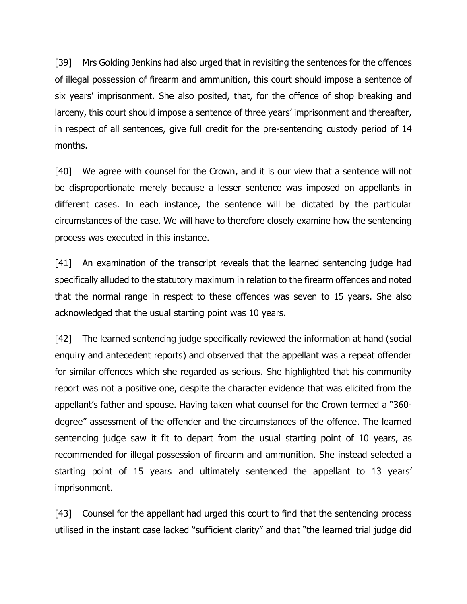[39] Mrs Golding Jenkins had also urged that in revisiting the sentences for the offences of illegal possession of firearm and ammunition, this court should impose a sentence of six years' imprisonment. She also posited, that, for the offence of shop breaking and larceny, this court should impose a sentence of three years' imprisonment and thereafter, in respect of all sentences, give full credit for the pre-sentencing custody period of 14 months.

[40] We agree with counsel for the Crown, and it is our view that a sentence will not be disproportionate merely because a lesser sentence was imposed on appellants in different cases. In each instance, the sentence will be dictated by the particular circumstances of the case. We will have to therefore closely examine how the sentencing process was executed in this instance.

[41] An examination of the transcript reveals that the learned sentencing judge had specifically alluded to the statutory maximum in relation to the firearm offences and noted that the normal range in respect to these offences was seven to 15 years. She also acknowledged that the usual starting point was 10 years.

[42] The learned sentencing judge specifically reviewed the information at hand (social enquiry and antecedent reports) and observed that the appellant was a repeat offender for similar offences which she regarded as serious. She highlighted that his community report was not a positive one, despite the character evidence that was elicited from the appellant's father and spouse. Having taken what counsel for the Crown termed a "360 degree" assessment of the offender and the circumstances of the offence. The learned sentencing judge saw it fit to depart from the usual starting point of 10 years, as recommended for illegal possession of firearm and ammunition. She instead selected a starting point of 15 years and ultimately sentenced the appellant to 13 years' imprisonment.

[43] Counsel for the appellant had urged this court to find that the sentencing process utilised in the instant case lacked "sufficient clarity" and that "the learned trial judge did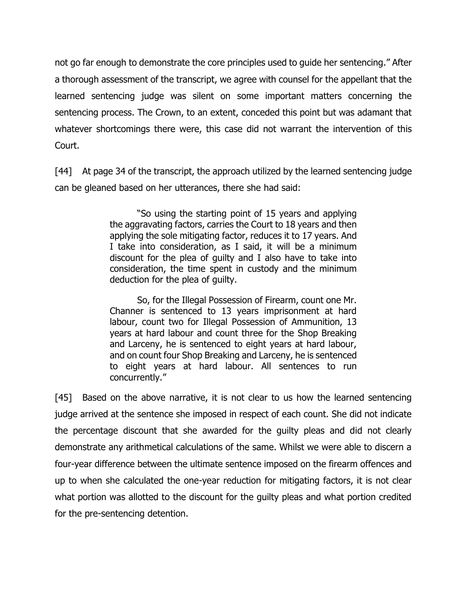not go far enough to demonstrate the core principles used to guide her sentencing." After a thorough assessment of the transcript, we agree with counsel for the appellant that the learned sentencing judge was silent on some important matters concerning the sentencing process. The Crown, to an extent, conceded this point but was adamant that whatever shortcomings there were, this case did not warrant the intervention of this Court.

[44] At page 34 of the transcript, the approach utilized by the learned sentencing judge can be gleaned based on her utterances, there she had said:

> "So using the starting point of 15 years and applying the aggravating factors, carries the Court to 18 years and then applying the sole mitigating factor, reduces it to 17 years. And I take into consideration, as I said, it will be a minimum discount for the plea of guilty and I also have to take into consideration, the time spent in custody and the minimum deduction for the plea of guilty.

> So, for the Illegal Possession of Firearm, count one Mr. Channer is sentenced to 13 years imprisonment at hard labour, count two for Illegal Possession of Ammunition, 13 years at hard labour and count three for the Shop Breaking and Larceny, he is sentenced to eight years at hard labour, and on count four Shop Breaking and Larceny, he is sentenced to eight years at hard labour. All sentences to run concurrently."

[45] Based on the above narrative, it is not clear to us how the learned sentencing judge arrived at the sentence she imposed in respect of each count. She did not indicate the percentage discount that she awarded for the guilty pleas and did not clearly demonstrate any arithmetical calculations of the same. Whilst we were able to discern a four-year difference between the ultimate sentence imposed on the firearm offences and up to when she calculated the one-year reduction for mitigating factors, it is not clear what portion was allotted to the discount for the guilty pleas and what portion credited for the pre-sentencing detention.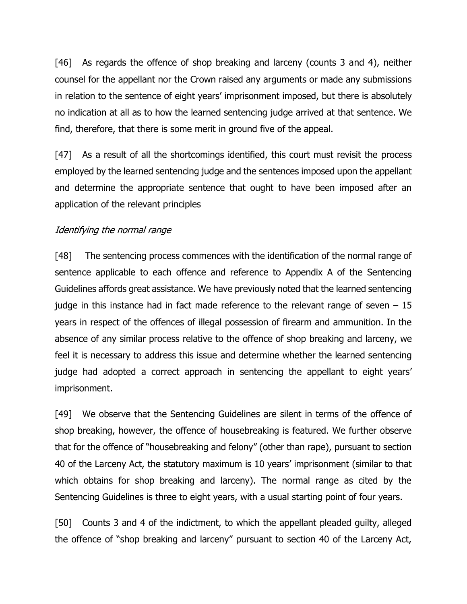[46] As regards the offence of shop breaking and larceny (counts 3 and 4), neither counsel for the appellant nor the Crown raised any arguments or made any submissions in relation to the sentence of eight years' imprisonment imposed, but there is absolutely no indication at all as to how the learned sentencing judge arrived at that sentence. We find, therefore, that there is some merit in ground five of the appeal.

[47] As a result of all the shortcomings identified, this court must revisit the process employed by the learned sentencing judge and the sentences imposed upon the appellant and determine the appropriate sentence that ought to have been imposed after an application of the relevant principles

### Identifying the normal range

[48] The sentencing process commences with the identification of the normal range of sentence applicable to each offence and reference to Appendix A of the Sentencing Guidelines affords great assistance. We have previously noted that the learned sentencing judge in this instance had in fact made reference to the relevant range of seven  $-15$ years in respect of the offences of illegal possession of firearm and ammunition. In the absence of any similar process relative to the offence of shop breaking and larceny, we feel it is necessary to address this issue and determine whether the learned sentencing judge had adopted a correct approach in sentencing the appellant to eight years' imprisonment.

[49] We observe that the Sentencing Guidelines are silent in terms of the offence of shop breaking, however, the offence of housebreaking is featured. We further observe that for the offence of "housebreaking and felony" (other than rape), pursuant to section 40 of the Larceny Act, the statutory maximum is 10 years' imprisonment (similar to that which obtains for shop breaking and larceny). The normal range as cited by the Sentencing Guidelines is three to eight years, with a usual starting point of four years.

[50] Counts 3 and 4 of the indictment, to which the appellant pleaded guilty, alleged the offence of "shop breaking and larceny" pursuant to section 40 of the Larceny Act,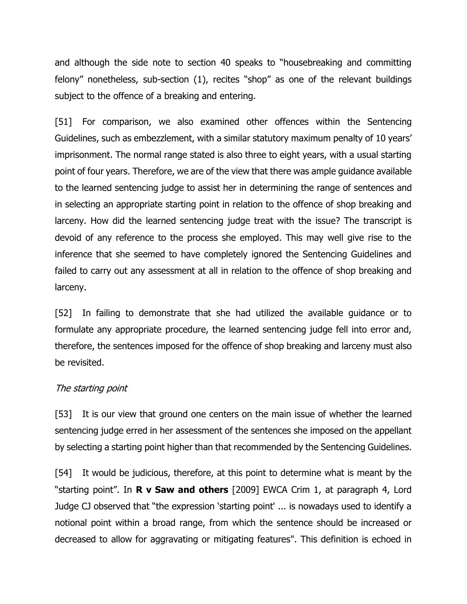and although the side note to section 40 speaks to "housebreaking and committing felony" nonetheless, sub-section (1), recites "shop" as one of the relevant buildings subject to the offence of a breaking and entering.

[51] For comparison, we also examined other offences within the Sentencing Guidelines, such as embezzlement, with a similar statutory maximum penalty of 10 years' imprisonment. The normal range stated is also three to eight years, with a usual starting point of four years. Therefore, we are of the view that there was ample guidance available to the learned sentencing judge to assist her in determining the range of sentences and in selecting an appropriate starting point in relation to the offence of shop breaking and larceny. How did the learned sentencing judge treat with the issue? The transcript is devoid of any reference to the process she employed. This may well give rise to the inference that she seemed to have completely ignored the Sentencing Guidelines and failed to carry out any assessment at all in relation to the offence of shop breaking and larceny.

[52] In failing to demonstrate that she had utilized the available guidance or to formulate any appropriate procedure, the learned sentencing judge fell into error and, therefore, the sentences imposed for the offence of shop breaking and larceny must also be revisited.

#### The starting point

[53] It is our view that ground one centers on the main issue of whether the learned sentencing judge erred in her assessment of the sentences she imposed on the appellant by selecting a starting point higher than that recommended by the Sentencing Guidelines.

[54] It would be judicious, therefore, at this point to determine what is meant by the "starting point". In **R v Saw and others** [2009] EWCA Crim 1, at paragraph 4, Lord Judge CJ observed that "the expression 'starting point' ... is nowadays used to identify a notional point within a broad range, from which the sentence should be increased or decreased to allow for aggravating or mitigating features". This definition is echoed in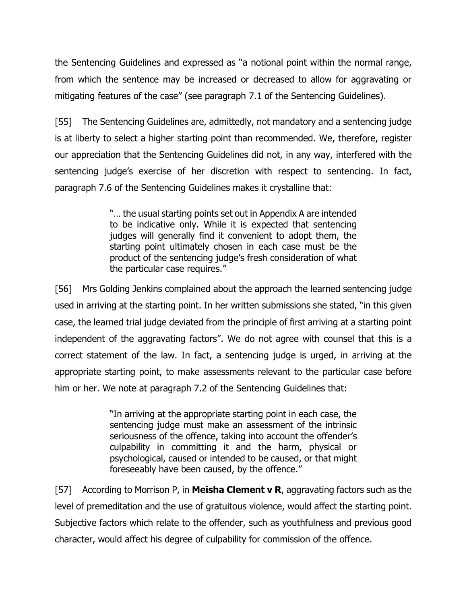the Sentencing Guidelines and expressed as "a notional point within the normal range, from which the sentence may be increased or decreased to allow for aggravating or mitigating features of the case" (see paragraph 7.1 of the Sentencing Guidelines).

[55] The Sentencing Guidelines are, admittedly, not mandatory and a sentencing judge is at liberty to select a higher starting point than recommended. We, therefore, register our appreciation that the Sentencing Guidelines did not, in any way, interfered with the sentencing judge's exercise of her discretion with respect to sentencing. In fact, paragraph 7.6 of the Sentencing Guidelines makes it crystalline that:

> "… the usual starting points set out in Appendix A are intended to be indicative only. While it is expected that sentencing judges will generally find it convenient to adopt them, the starting point ultimately chosen in each case must be the product of the sentencing judge's fresh consideration of what the particular case requires."

[56] Mrs Golding Jenkins complained about the approach the learned sentencing judge used in arriving at the starting point. In her written submissions she stated, "in this given case, the learned trial judge deviated from the principle of first arriving at a starting point independent of the aggravating factors". We do not agree with counsel that this is a correct statement of the law. In fact, a sentencing judge is urged, in arriving at the appropriate starting point, to make assessments relevant to the particular case before him or her. We note at paragraph 7.2 of the Sentencing Guidelines that:

> "In arriving at the appropriate starting point in each case, the sentencing judge must make an assessment of the intrinsic seriousness of the offence, taking into account the offender's culpability in committing it and the harm, physical or psychological, caused or intended to be caused, or that might foreseeably have been caused, by the offence."

[57] According to Morrison P, in **Meisha Clement v R**, aggravating factors such as the level of premeditation and the use of gratuitous violence, would affect the starting point. Subjective factors which relate to the offender, such as youthfulness and previous good character, would affect his degree of culpability for commission of the offence.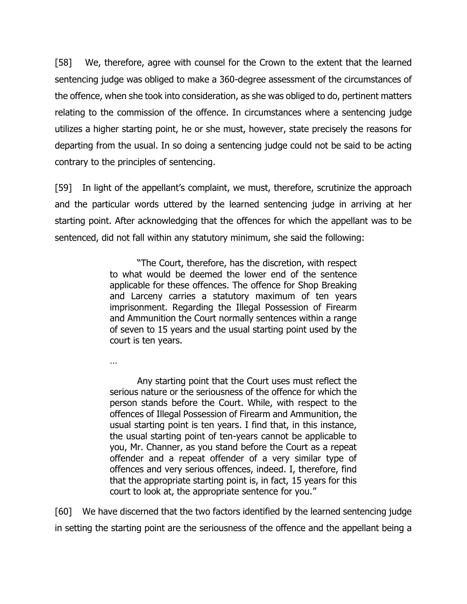[58] We, therefore, agree with counsel for the Crown to the extent that the learned sentencing judge was obliged to make a 360-degree assessment of the circumstances of the offence, when she took into consideration, as she was obliged to do, pertinent matters relating to the commission of the offence. In circumstances where a sentencing judge utilizes a higher starting point, he or she must, however, state precisely the reasons for departing from the usual. In so doing a sentencing judge could not be said to be acting contrary to the principles of sentencing.

[59] In light of the appellant's complaint, we must, therefore, scrutinize the approach and the particular words uttered by the learned sentencing judge in arriving at her starting point. After acknowledging that the offences for which the appellant was to be sentenced, did not fall within any statutory minimum, she said the following:

> "The Court, therefore, has the discretion, with respect to what would be deemed the lower end of the sentence applicable for these offences. The offence for Shop Breaking and Larceny carries a statutory maximum of ten years imprisonment. Regarding the Illegal Possession of Firearm and Ammunition the Court normally sentences within a range of seven to 15 years and the usual starting point used by the court is ten years.

…

Any starting point that the Court uses must reflect the serious nature or the seriousness of the offence for which the person stands before the Court. While, with respect to the offences of Illegal Possession of Firearm and Ammunition, the usual starting point is ten years. I find that, in this instance, the usual starting point of ten-years cannot be applicable to you, Mr. Channer, as you stand before the Court as a repeat offender and a repeat offender of a very similar type of offences and very serious offences, indeed. I, therefore, find that the appropriate starting point is, in fact, 15 years for this court to look at, the appropriate sentence for you."

[60] We have discerned that the two factors identified by the learned sentencing judge in setting the starting point are the seriousness of the offence and the appellant being a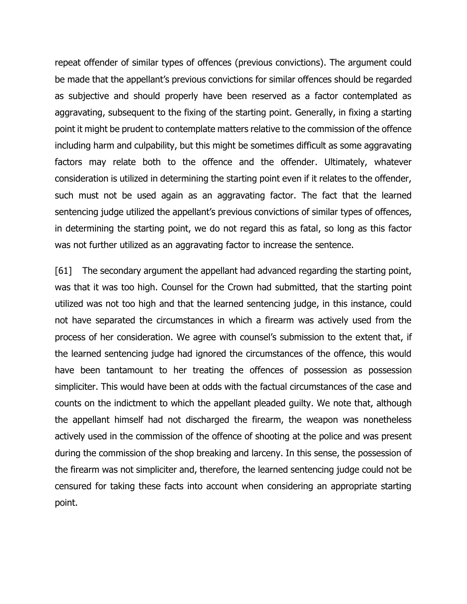repeat offender of similar types of offences (previous convictions). The argument could be made that the appellant's previous convictions for similar offences should be regarded as subjective and should properly have been reserved as a factor contemplated as aggravating, subsequent to the fixing of the starting point. Generally, in fixing a starting point it might be prudent to contemplate matters relative to the commission of the offence including harm and culpability, but this might be sometimes difficult as some aggravating factors may relate both to the offence and the offender. Ultimately, whatever consideration is utilized in determining the starting point even if it relates to the offender, such must not be used again as an aggravating factor. The fact that the learned sentencing judge utilized the appellant's previous convictions of similar types of offences, in determining the starting point, we do not regard this as fatal, so long as this factor was not further utilized as an aggravating factor to increase the sentence.

[61] The secondary argument the appellant had advanced regarding the starting point, was that it was too high. Counsel for the Crown had submitted, that the starting point utilized was not too high and that the learned sentencing judge, in this instance, could not have separated the circumstances in which a firearm was actively used from the process of her consideration. We agree with counsel's submission to the extent that, if the learned sentencing judge had ignored the circumstances of the offence, this would have been tantamount to her treating the offences of possession as possession simpliciter. This would have been at odds with the factual circumstances of the case and counts on the indictment to which the appellant pleaded guilty. We note that, although the appellant himself had not discharged the firearm, the weapon was nonetheless actively used in the commission of the offence of shooting at the police and was present during the commission of the shop breaking and larceny. In this sense, the possession of the firearm was not simpliciter and, therefore, the learned sentencing judge could not be censured for taking these facts into account when considering an appropriate starting point.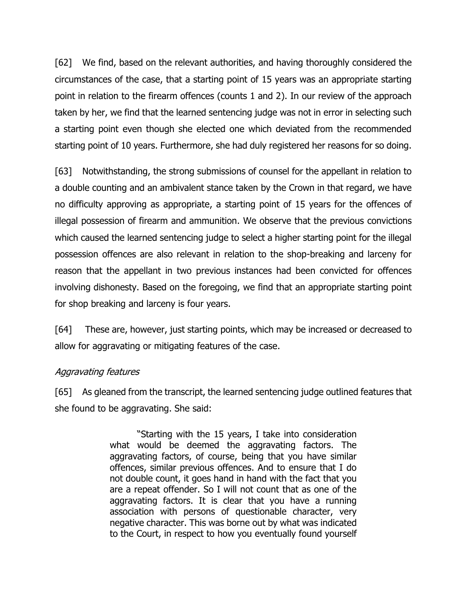[62] We find, based on the relevant authorities, and having thoroughly considered the circumstances of the case, that a starting point of 15 years was an appropriate starting point in relation to the firearm offences (counts 1 and 2). In our review of the approach taken by her, we find that the learned sentencing judge was not in error in selecting such a starting point even though she elected one which deviated from the recommended starting point of 10 years. Furthermore, she had duly registered her reasons for so doing.

[63] Notwithstanding, the strong submissions of counsel for the appellant in relation to a double counting and an ambivalent stance taken by the Crown in that regard, we have no difficulty approving as appropriate, a starting point of 15 years for the offences of illegal possession of firearm and ammunition. We observe that the previous convictions which caused the learned sentencing judge to select a higher starting point for the illegal possession offences are also relevant in relation to the shop-breaking and larceny for reason that the appellant in two previous instances had been convicted for offences involving dishonesty. Based on the foregoing, we find that an appropriate starting point for shop breaking and larceny is four years.

[64] These are, however, just starting points, which may be increased or decreased to allow for aggravating or mitigating features of the case.

#### Aggravating features

[65] As gleaned from the transcript, the learned sentencing judge outlined features that she found to be aggravating. She said:

> "Starting with the 15 years, I take into consideration what would be deemed the aggravating factors. The aggravating factors, of course, being that you have similar offences, similar previous offences. And to ensure that I do not double count, it goes hand in hand with the fact that you are a repeat offender. So I will not count that as one of the aggravating factors. It is clear that you have a running association with persons of questionable character, very negative character. This was borne out by what was indicated to the Court, in respect to how you eventually found yourself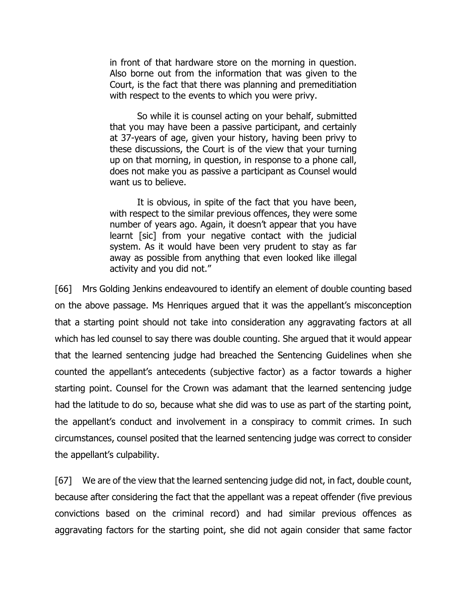in front of that hardware store on the morning in question. Also borne out from the information that was given to the Court, is the fact that there was planning and premeditiation with respect to the events to which you were privy.

So while it is counsel acting on your behalf, submitted that you may have been a passive participant, and certainly at 37-years of age, given your history, having been privy to these discussions, the Court is of the view that your turning up on that morning, in question, in response to a phone call, does not make you as passive a participant as Counsel would want us to believe.

It is obvious, in spite of the fact that you have been, with respect to the similar previous offences, they were some number of years ago. Again, it doesn't appear that you have learnt [sic] from your negative contact with the judicial system. As it would have been very prudent to stay as far away as possible from anything that even looked like illegal activity and you did not."

[66] Mrs Golding Jenkins endeavoured to identify an element of double counting based on the above passage. Ms Henriques argued that it was the appellant's misconception that a starting point should not take into consideration any aggravating factors at all which has led counsel to say there was double counting. She argued that it would appear that the learned sentencing judge had breached the Sentencing Guidelines when she counted the appellant's antecedents (subjective factor) as a factor towards a higher starting point. Counsel for the Crown was adamant that the learned sentencing judge had the latitude to do so, because what she did was to use as part of the starting point, the appellant's conduct and involvement in a conspiracy to commit crimes. In such circumstances, counsel posited that the learned sentencing judge was correct to consider the appellant's culpability.

[67] We are of the view that the learned sentencing judge did not, in fact, double count, because after considering the fact that the appellant was a repeat offender (five previous convictions based on the criminal record) and had similar previous offences as aggravating factors for the starting point, she did not again consider that same factor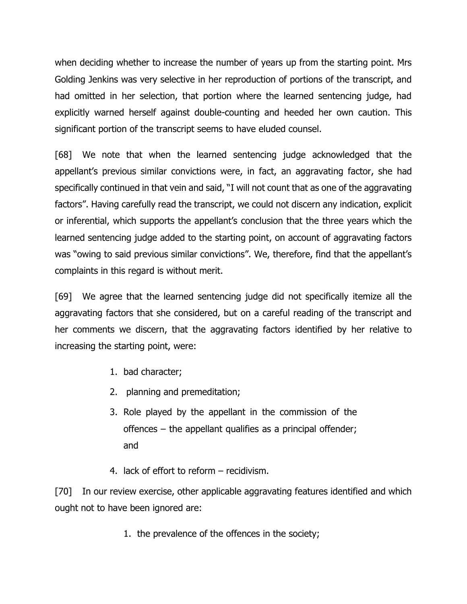when deciding whether to increase the number of years up from the starting point. Mrs Golding Jenkins was very selective in her reproduction of portions of the transcript, and had omitted in her selection, that portion where the learned sentencing judge, had explicitly warned herself against double-counting and heeded her own caution. This significant portion of the transcript seems to have eluded counsel.

[68] We note that when the learned sentencing judge acknowledged that the appellant's previous similar convictions were, in fact, an aggravating factor, she had specifically continued in that vein and said, "I will not count that as one of the aggravating factors". Having carefully read the transcript, we could not discern any indication, explicit or inferential, which supports the appellant's conclusion that the three years which the learned sentencing judge added to the starting point, on account of aggravating factors was "owing to said previous similar convictions". We, therefore, find that the appellant's complaints in this regard is without merit.

[69] We agree that the learned sentencing judge did not specifically itemize all the aggravating factors that she considered, but on a careful reading of the transcript and her comments we discern, that the aggravating factors identified by her relative to increasing the starting point, were:

- 1. bad character;
- 2. planning and premeditation;
- 3. Role played by the appellant in the commission of the offences – the appellant qualifies as a principal offender; and
- 4. lack of effort to reform recidivism.

[70] In our review exercise, other applicable aggravating features identified and which ought not to have been ignored are:

1. the prevalence of the offences in the society;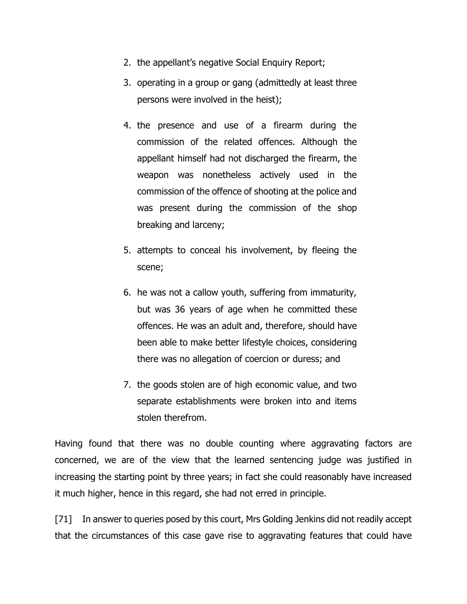- 2. the appellant's negative Social Enquiry Report;
- 3. operating in a group or gang (admittedly at least three persons were involved in the heist);
- 4. the presence and use of a firearm during the commission of the related offences. Although the appellant himself had not discharged the firearm, the weapon was nonetheless actively used in the commission of the offence of shooting at the police and was present during the commission of the shop breaking and larceny;
- 5. attempts to conceal his involvement, by fleeing the scene;
- 6. he was not a callow youth, suffering from immaturity, but was 36 years of age when he committed these offences. He was an adult and, therefore, should have been able to make better lifestyle choices, considering there was no allegation of coercion or duress; and
- 7. the goods stolen are of high economic value, and two separate establishments were broken into and items stolen therefrom.

Having found that there was no double counting where aggravating factors are concerned, we are of the view that the learned sentencing judge was justified in increasing the starting point by three years; in fact she could reasonably have increased it much higher, hence in this regard, she had not erred in principle.

[71] In answer to queries posed by this court, Mrs Golding Jenkins did not readily accept that the circumstances of this case gave rise to aggravating features that could have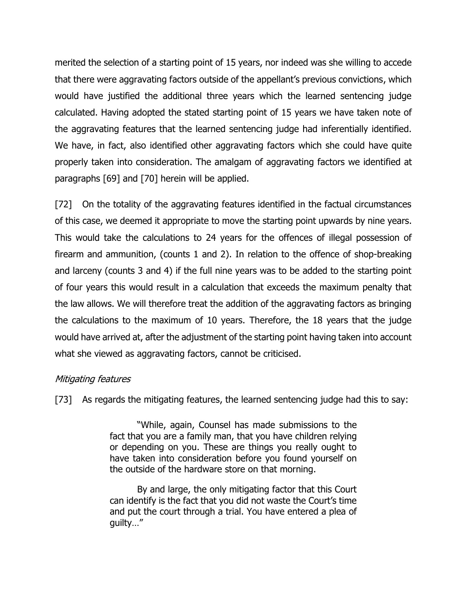merited the selection of a starting point of 15 years, nor indeed was she willing to accede that there were aggravating factors outside of the appellant's previous convictions, which would have justified the additional three years which the learned sentencing judge calculated. Having adopted the stated starting point of 15 years we have taken note of the aggravating features that the learned sentencing judge had inferentially identified. We have, in fact, also identified other aggravating factors which she could have quite properly taken into consideration. The amalgam of aggravating factors we identified at paragraphs [69] and [70] herein will be applied.

[72] On the totality of the aggravating features identified in the factual circumstances of this case, we deemed it appropriate to move the starting point upwards by nine years. This would take the calculations to 24 years for the offences of illegal possession of firearm and ammunition, (counts 1 and 2). In relation to the offence of shop-breaking and larceny (counts 3 and 4) if the full nine years was to be added to the starting point of four years this would result in a calculation that exceeds the maximum penalty that the law allows. We will therefore treat the addition of the aggravating factors as bringing the calculations to the maximum of 10 years. Therefore, the 18 years that the judge would have arrived at, after the adjustment of the starting point having taken into account what she viewed as aggravating factors, cannot be criticised.

# Mitigating features

[73] As regards the mitigating features, the learned sentencing judge had this to say:

"While, again, Counsel has made submissions to the fact that you are a family man, that you have children relying or depending on you. These are things you really ought to have taken into consideration before you found yourself on the outside of the hardware store on that morning.

By and large, the only mitigating factor that this Court can identify is the fact that you did not waste the Court's time and put the court through a trial. You have entered a plea of guilty…"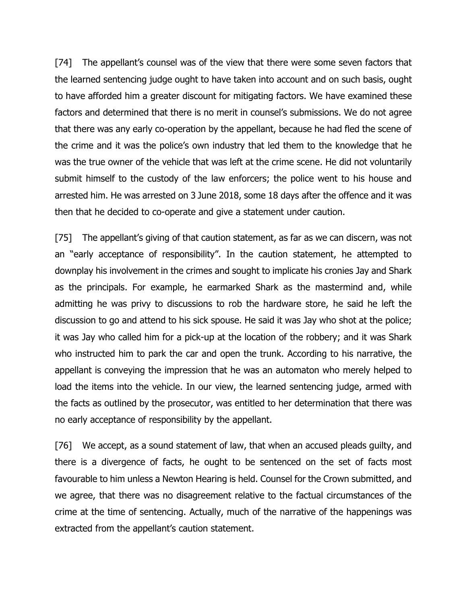[74] The appellant's counsel was of the view that there were some seven factors that the learned sentencing judge ought to have taken into account and on such basis, ought to have afforded him a greater discount for mitigating factors. We have examined these factors and determined that there is no merit in counsel's submissions. We do not agree that there was any early co-operation by the appellant, because he had fled the scene of the crime and it was the police's own industry that led them to the knowledge that he was the true owner of the vehicle that was left at the crime scene. He did not voluntarily submit himself to the custody of the law enforcers; the police went to his house and arrested him. He was arrested on 3 June 2018, some 18 days after the offence and it was then that he decided to co-operate and give a statement under caution.

[75] The appellant's giving of that caution statement, as far as we can discern, was not an "early acceptance of responsibility". In the caution statement, he attempted to downplay his involvement in the crimes and sought to implicate his cronies Jay and Shark as the principals. For example, he earmarked Shark as the mastermind and, while admitting he was privy to discussions to rob the hardware store, he said he left the discussion to go and attend to his sick spouse. He said it was Jay who shot at the police; it was Jay who called him for a pick-up at the location of the robbery; and it was Shark who instructed him to park the car and open the trunk. According to his narrative, the appellant is conveying the impression that he was an automaton who merely helped to load the items into the vehicle. In our view, the learned sentencing judge, armed with the facts as outlined by the prosecutor, was entitled to her determination that there was no early acceptance of responsibility by the appellant.

[76] We accept, as a sound statement of law, that when an accused pleads guilty, and there is a divergence of facts, he ought to be sentenced on the set of facts most favourable to him unless a Newton Hearing is held. Counsel for the Crown submitted, and we agree, that there was no disagreement relative to the factual circumstances of the crime at the time of sentencing. Actually, much of the narrative of the happenings was extracted from the appellant's caution statement.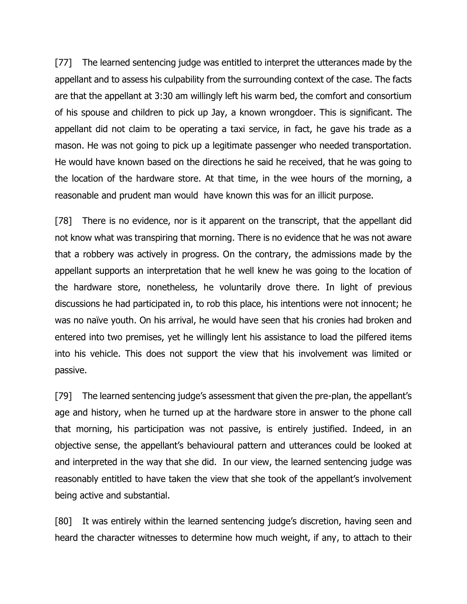[77] The learned sentencing judge was entitled to interpret the utterances made by the appellant and to assess his culpability from the surrounding context of the case. The facts are that the appellant at 3:30 am willingly left his warm bed, the comfort and consortium of his spouse and children to pick up Jay, a known wrongdoer. This is significant. The appellant did not claim to be operating a taxi service, in fact, he gave his trade as a mason. He was not going to pick up a legitimate passenger who needed transportation. He would have known based on the directions he said he received, that he was going to the location of the hardware store. At that time, in the wee hours of the morning, a reasonable and prudent man would have known this was for an illicit purpose.

[78] There is no evidence, nor is it apparent on the transcript, that the appellant did not know what was transpiring that morning. There is no evidence that he was not aware that a robbery was actively in progress. On the contrary, the admissions made by the appellant supports an interpretation that he well knew he was going to the location of the hardware store, nonetheless, he voluntarily drove there. In light of previous discussions he had participated in, to rob this place, his intentions were not innocent; he was no naïve youth. On his arrival, he would have seen that his cronies had broken and entered into two premises, yet he willingly lent his assistance to load the pilfered items into his vehicle. This does not support the view that his involvement was limited or passive.

[79] The learned sentencing judge's assessment that given the pre-plan, the appellant's age and history, when he turned up at the hardware store in answer to the phone call that morning, his participation was not passive, is entirely justified. Indeed, in an objective sense, the appellant's behavioural pattern and utterances could be looked at and interpreted in the way that she did. In our view, the learned sentencing judge was reasonably entitled to have taken the view that she took of the appellant's involvement being active and substantial.

[80] It was entirely within the learned sentencing judge's discretion, having seen and heard the character witnesses to determine how much weight, if any, to attach to their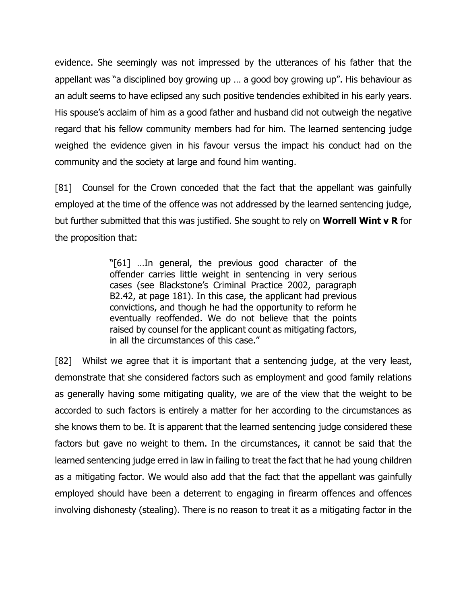evidence. She seemingly was not impressed by the utterances of his father that the appellant was "a disciplined boy growing up … a good boy growing up". His behaviour as an adult seems to have eclipsed any such positive tendencies exhibited in his early years. His spouse's acclaim of him as a good father and husband did not outweigh the negative regard that his fellow community members had for him. The learned sentencing judge weighed the evidence given in his favour versus the impact his conduct had on the community and the society at large and found him wanting.

[81] Counsel for the Crown conceded that the fact that the appellant was gainfully employed at the time of the offence was not addressed by the learned sentencing judge, but further submitted that this was justified. She sought to rely on **Worrell Wint v R** for the proposition that:

> "[61] …In general, the previous good character of the offender carries little weight in sentencing in very serious cases (see Blackstone's Criminal Practice 2002, paragraph B2.42, at page 181). In this case, the applicant had previous convictions, and though he had the opportunity to reform he eventually reoffended. We do not believe that the points raised by counsel for the applicant count as mitigating factors, in all the circumstances of this case."

[82] Whilst we agree that it is important that a sentencing judge, at the very least, demonstrate that she considered factors such as employment and good family relations as generally having some mitigating quality, we are of the view that the weight to be accorded to such factors is entirely a matter for her according to the circumstances as she knows them to be. It is apparent that the learned sentencing judge considered these factors but gave no weight to them. In the circumstances, it cannot be said that the learned sentencing judge erred in law in failing to treat the fact that he had young children as a mitigating factor. We would also add that the fact that the appellant was gainfully employed should have been a deterrent to engaging in firearm offences and offences involving dishonesty (stealing). There is no reason to treat it as a mitigating factor in the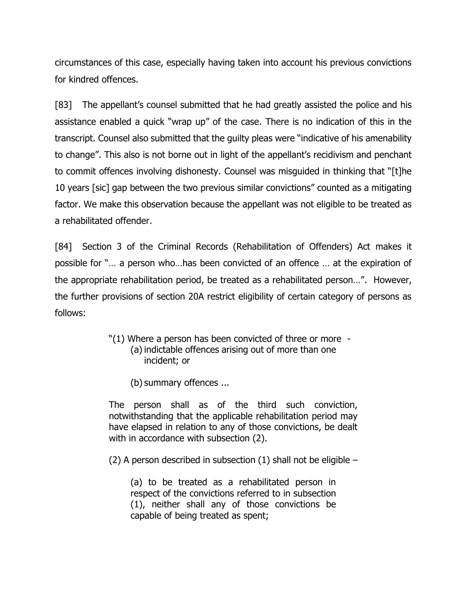circumstances of this case, especially having taken into account his previous convictions for kindred offences.

[83] The appellant's counsel submitted that he had greatly assisted the police and his assistance enabled a quick "wrap up" of the case. There is no indication of this in the transcript. Counsel also submitted that the guilty pleas were "indicative of his amenability to change". This also is not borne out in light of the appellant's recidivism and penchant to commit offences involving dishonesty. Counsel was misguided in thinking that "[t]he 10 years [sic] gap between the two previous similar convictions" counted as a mitigating factor. We make this observation because the appellant was not eligible to be treated as a rehabilitated offender.

[84] Section 3 of the Criminal Records (Rehabilitation of Offenders) Act makes it possible for "… a person who…has been convicted of an offence … at the expiration of the appropriate rehabilitation period, be treated as a rehabilitated person…". However, the further provisions of section 20A restrict eligibility of certain category of persons as follows:

- "(1) Where a person has been convicted of three or more (a) indictable offences arising out of more than one incident; or
	- (b) summary offences ...

The person shall as of the third such conviction, notwithstanding that the applicable rehabilitation period may have elapsed in relation to any of those convictions, be dealt with in accordance with subsection (2).

(2) A person described in subsection (1) shall not be eligible –

(a) to be treated as a rehabilitated person in respect of the convictions referred to in subsection (1), neither shall any of those convictions be capable of being treated as spent;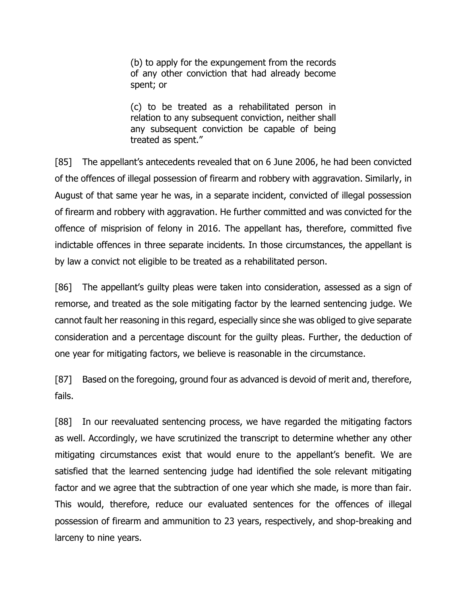(b) to apply for the expungement from the records of any other conviction that had already become spent; or

(c) to be treated as a rehabilitated person in relation to any subsequent conviction, neither shall any subsequent conviction be capable of being treated as spent."

[85] The appellant's antecedents revealed that on 6 June 2006, he had been convicted of the offences of illegal possession of firearm and robbery with aggravation. Similarly, in August of that same year he was, in a separate incident, convicted of illegal possession of firearm and robbery with aggravation. He further committed and was convicted for the offence of misprision of felony in 2016. The appellant has, therefore, committed five indictable offences in three separate incidents. In those circumstances, the appellant is by law a convict not eligible to be treated as a rehabilitated person.

[86] The appellant's guilty pleas were taken into consideration, assessed as a sign of remorse, and treated as the sole mitigating factor by the learned sentencing judge. We cannot fault her reasoning in this regard, especially since she was obliged to give separate consideration and a percentage discount for the guilty pleas. Further, the deduction of one year for mitigating factors, we believe is reasonable in the circumstance.

[87] Based on the foregoing, ground four as advanced is devoid of merit and, therefore, fails.

[88] In our reevaluated sentencing process, we have regarded the mitigating factors as well. Accordingly, we have scrutinized the transcript to determine whether any other mitigating circumstances exist that would enure to the appellant's benefit. We are satisfied that the learned sentencing judge had identified the sole relevant mitigating factor and we agree that the subtraction of one year which she made, is more than fair. This would, therefore, reduce our evaluated sentences for the offences of illegal possession of firearm and ammunition to 23 years, respectively, and shop-breaking and larceny to nine years.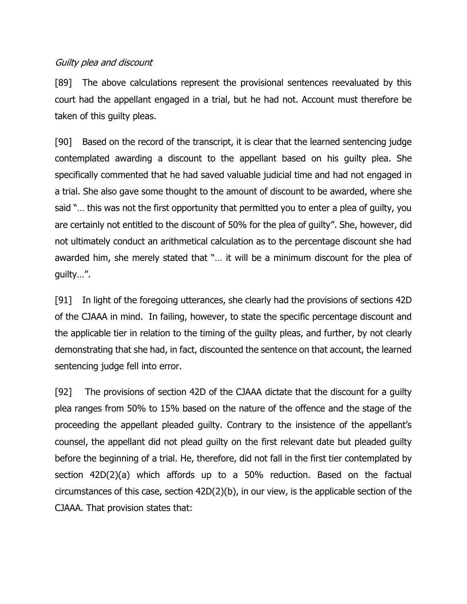### Guilty plea and discount

[89] The above calculations represent the provisional sentences reevaluated by this court had the appellant engaged in a trial, but he had not. Account must therefore be taken of this guilty pleas.

[90] Based on the record of the transcript, it is clear that the learned sentencing judge contemplated awarding a discount to the appellant based on his guilty plea. She specifically commented that he had saved valuable judicial time and had not engaged in a trial. She also gave some thought to the amount of discount to be awarded, where she said "… this was not the first opportunity that permitted you to enter a plea of guilty, you are certainly not entitled to the discount of 50% for the plea of guilty". She, however, did not ultimately conduct an arithmetical calculation as to the percentage discount she had awarded him, she merely stated that "… it will be a minimum discount for the plea of guilty…".

[91] In light of the foregoing utterances, she clearly had the provisions of sections 42D of the CJAAA in mind. In failing, however, to state the specific percentage discount and the applicable tier in relation to the timing of the guilty pleas, and further, by not clearly demonstrating that she had, in fact, discounted the sentence on that account, the learned sentencing judge fell into error.

[92] The provisions of section 42D of the CJAAA dictate that the discount for a guilty plea ranges from 50% to 15% based on the nature of the offence and the stage of the proceeding the appellant pleaded guilty. Contrary to the insistence of the appellant's counsel, the appellant did not plead guilty on the first relevant date but pleaded guilty before the beginning of a trial. He, therefore, did not fall in the first tier contemplated by section 42D(2)(a) which affords up to a 50% reduction. Based on the factual circumstances of this case, section 42D(2)(b), in our view, is the applicable section of the CJAAA. That provision states that: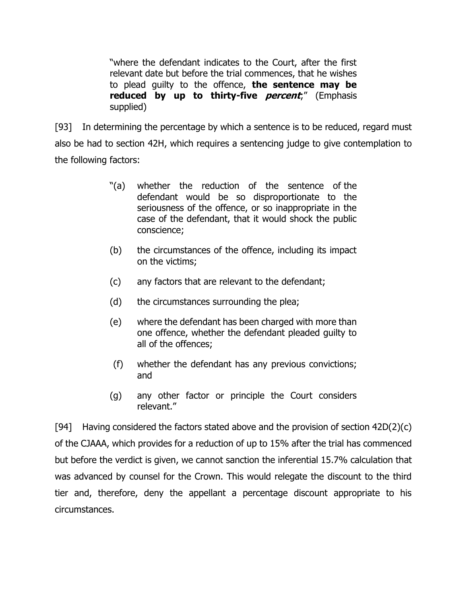"where the defendant indicates to the Court, after the first relevant date but before the trial commences, that he wishes to plead guilty to the offence, **the sentence may be reduced by up to thirty-five percent**;" (Emphasis supplied)

[93] In determining the percentage by which a sentence is to be reduced, regard must also be had to section 42H, which requires a sentencing judge to give contemplation to the following factors:

- "(a) whether the reduction of the sentence of the defendant would be so disproportionate to the seriousness of the offence, or so inappropriate in the case of the defendant, that it would shock the public conscience;
- (b) the circumstances of the offence, including its impact on the victims;
- (c) any factors that are relevant to the defendant;
- (d) the circumstances surrounding the plea;
- (e) where the defendant has been charged with more than one offence, whether the defendant pleaded guilty to all of the offences;
- (f) whether the defendant has any previous convictions; and
- (g) any other factor or principle the Court considers relevant."

[94] Having considered the factors stated above and the provision of section  $42D(2)(c)$ of the CJAAA, which provides for a reduction of up to 15% after the trial has commenced but before the verdict is given, we cannot sanction the inferential 15.7% calculation that was advanced by counsel for the Crown. This would relegate the discount to the third tier and, therefore, deny the appellant a percentage discount appropriate to his circumstances.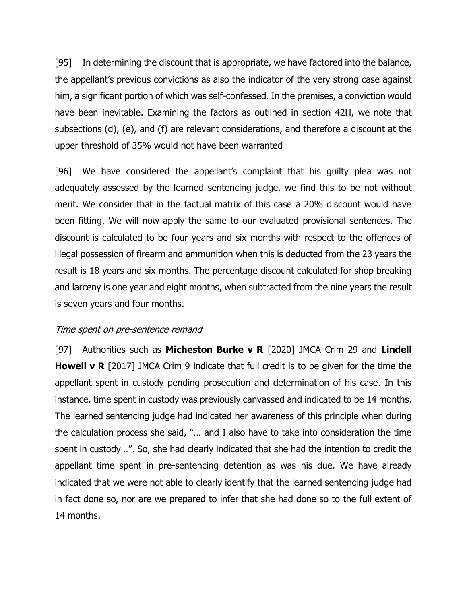[95] In determining the discount that is appropriate, we have factored into the balance, the appellant's previous convictions as also the indicator of the very strong case against him, a significant portion of which was self-confessed. In the premises, a conviction would have been inevitable. Examining the factors as outlined in section 42H, we note that subsections (d), (e), and (f) are relevant considerations, and therefore a discount at the upper threshold of 35% would not have been warranted

[96] We have considered the appellant's complaint that his guilty plea was not adequately assessed by the learned sentencing judge, we find this to be not without merit. We consider that in the factual matrix of this case a 20% discount would have been fitting. We will now apply the same to our evaluated provisional sentences. The discount is calculated to be four years and six months with respect to the offences of illegal possession of firearm and ammunition when this is deducted from the 23 years the result is 18 years and six months. The percentage discount calculated for shop breaking and larceny is one year and eight months, when subtracted from the nine years the result is seven years and four months.

#### Time spent on pre-sentence remand

[97] Authorities such as **Micheston Burke v R** [2020] JMCA Crim 29 and **Lindell Howell v R** [2017] JMCA Crim 9 indicate that full credit is to be given for the time the appellant spent in custody pending prosecution and determination of his case. In this instance, time spent in custody was previously canvassed and indicated to be 14 months. The learned sentencing judge had indicated her awareness of this principle when during the calculation process she said, "… and I also have to take into consideration the time spent in custody…". So, she had clearly indicated that she had the intention to credit the appellant time spent in pre-sentencing detention as was his due. We have already indicated that we were not able to clearly identify that the learned sentencing judge had in fact done so, nor are we prepared to infer that she had done so to the full extent of 14 months.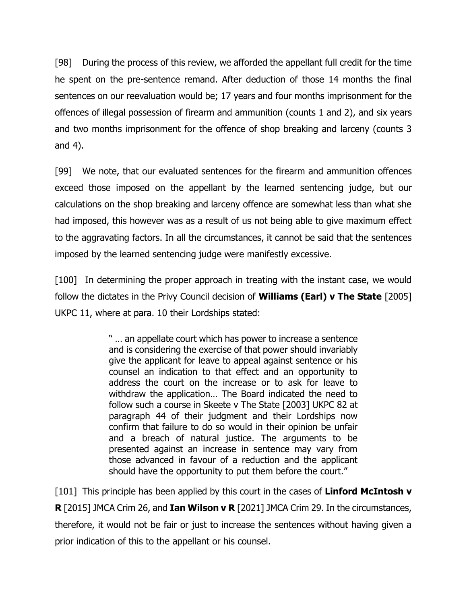[98] During the process of this review, we afforded the appellant full credit for the time he spent on the pre-sentence remand. After deduction of those 14 months the final sentences on our reevaluation would be; 17 years and four months imprisonment for the offences of illegal possession of firearm and ammunition (counts 1 and 2), and six years and two months imprisonment for the offence of shop breaking and larceny (counts 3 and 4).

[99] We note, that our evaluated sentences for the firearm and ammunition offences exceed those imposed on the appellant by the learned sentencing judge, but our calculations on the shop breaking and larceny offence are somewhat less than what she had imposed, this however was as a result of us not being able to give maximum effect to the aggravating factors. In all the circumstances, it cannot be said that the sentences imposed by the learned sentencing judge were manifestly excessive.

[100] In determining the proper approach in treating with the instant case, we would follow the dictates in the Privy Council decision of **Williams (Earl) v The State** [2005] UKPC 11, where at para. 10 their Lordships stated:

> " … an appellate court which has power to increase a sentence and is considering the exercise of that power should invariably give the applicant for leave to appeal against sentence or his counsel an indication to that effect and an opportunity to address the court on the increase or to ask for leave to withdraw the application… The Board indicated the need to follow such a course in Skeete v The State [2003] UKPC 82 at paragraph 44 of their judgment and their Lordships now confirm that failure to do so would in their opinion be unfair and a breach of natural justice. The arguments to be presented against an increase in sentence may vary from those advanced in favour of a reduction and the applicant should have the opportunity to put them before the court."

[101] This principle has been applied by this court in the cases of **Linford McIntosh v R** [2015] JMCA Crim 26, and **Ian Wilson v R** [2021] JMCA Crim 29. In the circumstances, therefore, it would not be fair or just to increase the sentences without having given a prior indication of this to the appellant or his counsel.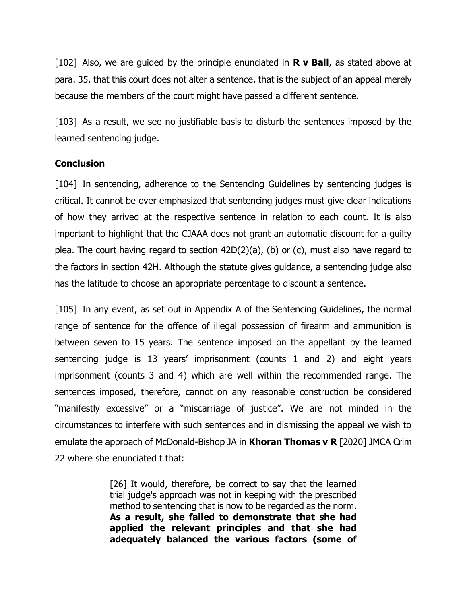[102] Also, we are guided by the principle enunciated in **R v Ball**, as stated above at para. 35, that this court does not alter a sentence, that is the subject of an appeal merely because the members of the court might have passed a different sentence.

[103] As a result, we see no justifiable basis to disturb the sentences imposed by the learned sentencing judge.

### **Conclusion**

[104] In sentencing, adherence to the Sentencing Guidelines by sentencing judges is critical. It cannot be over emphasized that sentencing judges must give clear indications of how they arrived at the respective sentence in relation to each count. It is also important to highlight that the CJAAA does not grant an automatic discount for a guilty plea. The court having regard to section 42D(2)(a), (b) or (c), must also have regard to the factors in section 42H. Although the statute gives guidance, a sentencing judge also has the latitude to choose an appropriate percentage to discount a sentence.

[105] In any event, as set out in Appendix A of the Sentencing Guidelines, the normal range of sentence for the offence of illegal possession of firearm and ammunition is between seven to 15 years. The sentence imposed on the appellant by the learned sentencing judge is 13 years' imprisonment (counts 1 and 2) and eight years imprisonment (counts 3 and 4) which are well within the recommended range. The sentences imposed, therefore, cannot on any reasonable construction be considered "manifestly excessive" or a "miscarriage of justice". We are not minded in the circumstances to interfere with such sentences and in dismissing the appeal we wish to emulate the approach of McDonald-Bishop JA in **Khoran Thomas v R** [2020] JMCA Crim 22 where she enunciated t that:

> [26] It would, therefore, be correct to say that the learned trial judge's approach was not in keeping with the prescribed method to sentencing that is now to be regarded as the norm. **As a result, she failed to demonstrate that she had applied the relevant principles and that she had adequately balanced the various factors (some of**